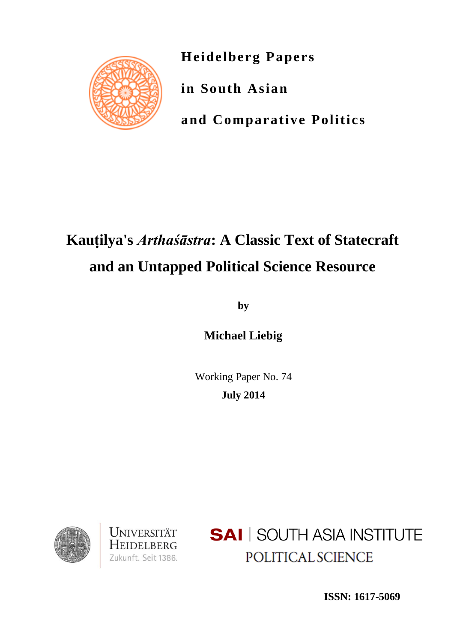

**Heidelberg Papers**

**in South Asian**

**and Comparative Politics**

# **Kauṭilya's** *Arthaśāstra***: A Classic Text of Statecraft and an Untapped Political Science Resource**

**by**

**Michael Liebig**

Working Paper No. 74 **July 2014**





**SAI** SOUTH ASIA INSTITUTE POLITICAL SCIENCE

**ISSN: 1617-5069**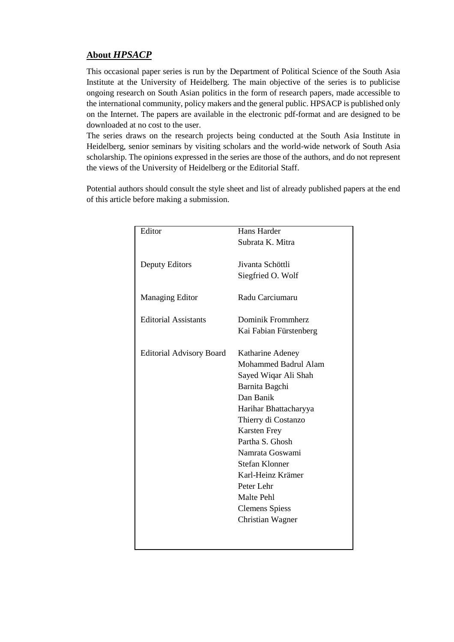# **About** *HPSACP*

This occasional paper series is run by the Department of Political Science of the South Asia Institute at the University of Heidelberg. The main objective of the series is to publicise ongoing research on South Asian politics in the form of research papers, made accessible to the international community, policy makers and the general public. HPSACP is published only on the Internet. The papers are available in the electronic pdf-format and are designed to be downloaded at no cost to the user.

The series draws on the research projects being conducted at the South Asia Institute in Heidelberg, senior seminars by visiting scholars and the world-wide network of South Asia scholarship. The opinions expressed in the series are those of the authors, and do not represent the views of the University of Heidelberg or the Editorial Staff.

Potential authors should consult the style sheet and list of already published papers at the end of this article before making a submission.

| Editor                          | Hans Harder             |
|---------------------------------|-------------------------|
|                                 | Subrata K. Mitra        |
|                                 |                         |
| Deputy Editors                  | Jivanta Schöttli        |
|                                 | Siegfried O. Wolf       |
|                                 |                         |
| <b>Managing Editor</b>          | Radu Carciumaru         |
| <b>Editorial Assistants</b>     | Dominik Frommherz       |
|                                 | Kai Fabian Fürstenberg  |
|                                 |                         |
| <b>Editorial Advisory Board</b> | Katharine Adeney        |
|                                 | Mohammed Badrul Alam    |
|                                 | Sayed Wiqar Ali Shah    |
|                                 | Barnita Bagchi          |
|                                 | Dan Banik               |
|                                 | Harihar Bhattacharyya   |
|                                 | Thierry di Costanzo     |
|                                 | <b>Karsten Frey</b>     |
|                                 | Partha S. Ghosh         |
|                                 | Namrata Goswami         |
|                                 | <b>Stefan Klonner</b>   |
|                                 | Karl-Heinz Krämer       |
|                                 | Peter Lehr              |
|                                 | Malte Pehl              |
|                                 | <b>Clemens Spiess</b>   |
|                                 | <b>Christian Wagner</b> |
|                                 |                         |
|                                 |                         |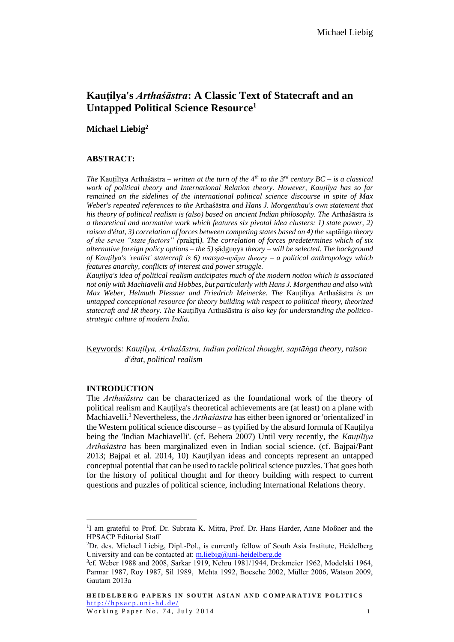# **Kauṭilya's** *Arthaśāstra***: A Classic Text of Statecraft and an Untapped Political Science Resource<sup>1</sup>**

# **Michael Liebig<sup>2</sup>**

#### **ABSTRACT:**

*The* Kauṭilīya Arthaśāstra *– written at the turn of the 4th to the 3rd century BC – is a classical work of political theory and International Relation theory. However, Kauṭilya has so far remained on the sidelines of the international political science discourse in spite of Max Weber's repeated references to the* Arthaśāstra *and Hans J. Morgenthau's own statement that his theory of political realism is (also) based on ancient Indian philosophy. The* Arthaśāstra *is a theoretical and normative work which features six pivotal idea clusters: 1) state power, 2) raison d'état, 3) correlation of forces between competing states based on 4) the saptāṅga theory of the seven "state factors" (*prakr̥ti*). The correlation of forces predetermines which of six alternative foreign policy options – the 5)* ṣāḍguṇya *theory – will be selected. The background of Kauṭilya's 'realist' statecraft is 6) matsya-nyāya theory – a political anthropology which features anarchy, conflicts of interest and power struggle.*

*Kauṭilya's idea of political realism anticipates much of the modern notion which is associated not only with Machiavelli and Hobbes, but particularly with Hans J. Morgenthau and also with Max Weber, Helmuth Plessner and Friedrich Meinecke. The* Kauṭilīya Arthaśāstra *is an untapped conceptional resource for theory building with respect to political theory, theorized statecraft and IR theory. The* Kauṭilīya Arthaśāstra *is also key for understanding the politicostrategic culture of modern India.*

Keywords*: Kauṭilya, Arthaśāstra, Indian political thought, saptāṅga theory, raison d'état, political realism*

#### **INTRODUCTION**

 $\overline{a}$ 

The *Arthaśāstra* can be characterized as the foundational work of the theory of political realism and Kauṭilya's theoretical achievements are (at least) on a plane with Machiavelli.<sup>3</sup> Nevertheless, the *Arthaśāstra* has either been ignored or 'orientalized' in the Western political science discourse – as typified by the absurd formula of Kauṭilya being the 'Indian Machiavelli'. (cf. Behera 2007) Until very recently, the *Kauṭilīya Arthaśāstra* has been marginalized even in Indian social science. (cf. Bajpai/Pant 2013; Bajpai et al. 2014, 10) Kauṭilyan ideas and concepts represent an untapped conceptual potential that can be used to tackle political science puzzles. That goes both for the history of political thought and for theory building with respect to current questions and puzzles of political science, including International Relations theory.

<sup>&</sup>lt;sup>1</sup>I am grateful to Prof. Dr. Subrata K. Mitra, Prof. Dr. Hans Harder, Anne Moßner and the HPSACP Editorial Staff

<sup>2</sup>Dr. des. Michael Liebig, Dipl.-Pol., is currently fellow of South Asia Institute, Heidelberg University and can be contacted at[: m.liebig@uni-heidelberg.de](mailto:michael.liebig1@gmx.de)

<sup>3</sup> cf. Weber 1988 and 2008, Sarkar 1919, Nehru 1981/1944, Drekmeier 1962, Modelski 1964, Parmar 1987, Roy 1987, Sil 1989, Mehta 1992, Boesche 2002, Müller 2006, Watson 2009, Gautam 2013a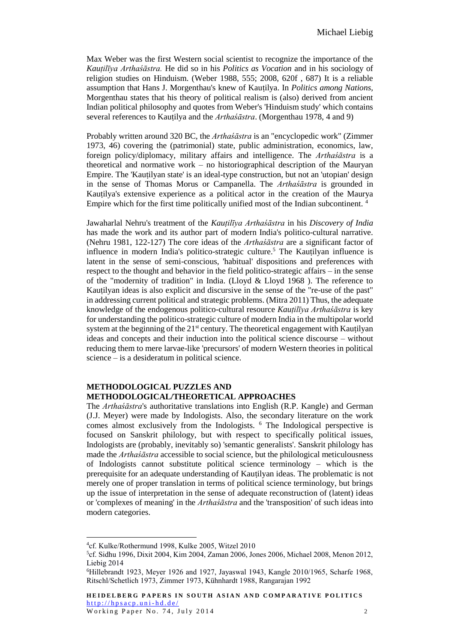Max Weber was the first Western social scientist to recognize the importance of the *Kauṭilīya Arthaśāstra.* He did so in his *Politics as Vocation* and in his sociology of religion studies on Hinduism. (Weber 1988, 555; 2008, 620f , 687) It is a reliable assumption that Hans J. Morgenthau's knew of Kauṭilya. In *Politics among Nations,* Morgenthau states that his theory of political realism is (also) derived from ancient Indian political philosophy and quotes from Weber's 'Hinduism study' which contains several references to Kauṭilya and the *Arthaśāstra*. (Morgenthau 1978, 4 and 9)

Probably written around 320 BC, the *Arthaśāstra* is an "encyclopedic work" (Zimmer 1973, 46) covering the (patrimonial) state, public administration, economics, law, foreign policy/diplomacy, military affairs and intelligence. The *Arthaśāstra* is a theoretical and normative work – no historiographical description of the Mauryan Empire. The 'Kauṭilyan state' is an ideal-type construction, but not an 'utopian' design in the sense of Thomas Morus or Campanella. The *Arthaśāstra* is grounded in Kauṭilya's extensive experience as a political actor in the creation of the Maurya Empire which for the first time politically unified most of the Indian subcontinent.<sup>4</sup>

Jawaharlal Nehru's treatment of the *Kauṭilīya Arthaśāstra* in his *Discovery of India* has made the work and its author part of modern India's politico-cultural narrative. (Nehru 1981, 122-127) The core ideas of the *Arthaśāstra* are a significant factor of influence in modern India's politico-strategic culture.<sup>5</sup> The Kautilyan influence is latent in the sense of semi-conscious, 'habitual' dispositions and preferences with respect to the thought and behavior in the field politico-strategic affairs – in the sense of the "modernity of tradition" in India. (Lloyd  $&$  Lloyd 1968). The reference to Kautilyan ideas is also explicit and discursive in the sense of the "re-use of the past" in addressing current political and strategic problems. (Mitra 2011) Thus, the adequate knowledge of the endogenous politico-cultural resource *Kauṭilīya Arthaśāstra* is key for understanding the politico-strategic culture of modern India in the multipolar world system at the beginning of the  $21<sup>st</sup>$  century. The theoretical engagement with Kauṭilyan ideas and concepts and their induction into the political science discourse – without reducing them to mere larvae-like 'precursors' of modern Western theories in political science – is a desideratum in political science.

#### **METHODOLOGICAL PUZZLES AND METHODOLOGICAL/THEORETICAL APPROACHES**

The *Arthaśāstra*'s authoritative translations into English (R.P. Kangle) and German (J.J. Meyer) were made by Indologists. Also, the secondary literature on the work comes almost exclusively from the Indologists. <sup>6</sup> The Indological perspective is focused on Sanskrit philology, but with respect to specifically political issues, Indologists are (probably, inevitably so) 'semantic generalists'. Sanskrit philology has made the *Arthaśāstra* accessible to social science, but the philological meticulousness of Indologists cannot substitute political science terminology – which is the prerequisite for an adequate understanding of Kauṭilyan ideas. The problematic is not merely one of proper translation in terms of political science terminology, but brings up the issue of interpretation in the sense of adequate reconstruction of (latent) ideas or 'complexes of meaning' in the *Arthaśāstra* and the 'transposition' of such ideas into modern categories.

<sup>4</sup> cf. Kulke/Rothermund 1998, Kulke 2005, Witzel 2010

<sup>5</sup> cf. Sidhu 1996, Dixit 2004, Kim 2004, Zaman 2006, Jones 2006, Michael 2008, Menon 2012, Liebig 2014

<sup>6</sup>Hillebrandt 1923, Meyer 1926 and 1927, Jayaswal 1943, Kangle 2010/1965, Scharfe 1968, Ritschl/Schetlich 1973, Zimmer 1973, Kühnhardt 1988, Rangarajan 1992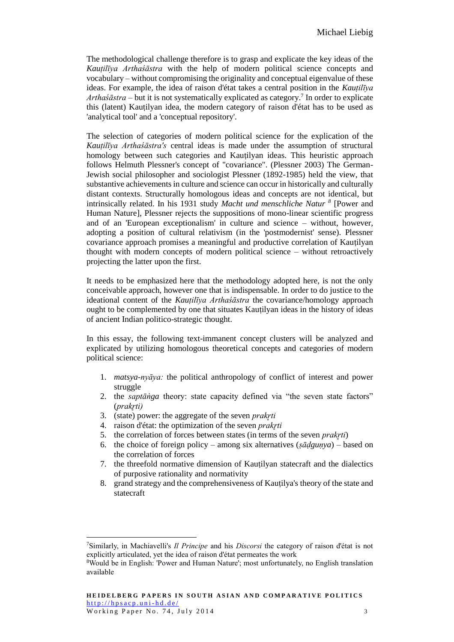The methodological challenge therefore is to grasp and explicate the key ideas of the *Kauṭilīya Arthaśāstra* with the help of modern political science concepts and vocabulary – without compromising the originality and conceptual eigenvalue of these ideas. For example, the idea of raison d'état takes a central position in the *Kauṭilīya*  Arthaśāstra – but it is not systematically explicated as category.<sup>7</sup> In order to explicate this (latent) Kauṭilyan idea, the modern category of raison d'état has to be used as 'analytical tool' and a 'conceptual repository'.

The selection of categories of modern political science for the explication of the *Kauṭilīya Arthaśāstra's* central ideas is made under the assumption of structural homology between such categories and Kauṭilyan ideas. This heuristic approach follows Helmuth Plessner's concept of "covariance". (Plessner 2003) The German-Jewish social philosopher and sociologist Plessner (1892-1985) held the view, that substantive achievements in culture and science can occur in historically and culturally distant contexts. Structurally homologous ideas and concepts are not identical, but intrinsically related. In his 1931 study *Macht und menschliche Natur <sup>8</sup>* [Power and Human Nature], Plessner rejects the suppositions of mono-linear scientific progress and of an 'European exceptionalism' in culture and science – without, however, adopting a position of cultural relativism (in the 'postmodernist' sense). Plessner covariance approach promises a meaningful and productive correlation of Kauṭilyan thought with modern concepts of modern political science – without retroactively projecting the latter upon the first.

It needs to be emphasized here that the methodology adopted here, is not the only conceivable approach, however one that is indispensable. In order to do justice to the ideational content of the *Kauṭilīya Arthaśāstra* the covariance/homology approach ought to be complemented by one that situates Kauṭilyan ideas in the history of ideas of ancient Indian politico-strategic thought.

In this essay, the following text-immanent concept clusters will be analyzed and explicated by utilizing homologous theoretical concepts and categories of modern political science:

- 1. *matsya-nyāya:* the political anthropology of conflict of interest and power struggle
- 2. the *saptāṅga* theory: state capacity defined via "the seven state factors" (*prakr̥ti)*
- 3. (state) power: the aggregate of the seven *prakr̥ti*

- 4. raison d'état: the optimization of the seven *prakr̥ti*
- 5. the correlation of forces between states (in terms of the seven *prakr̥ti*)
- 6. the choice of foreign policy among six alternatives (*ṣāḍguṇya*) based on the correlation of forces
- 7. the threefold normative dimension of Kauṭilyan statecraft and the dialectics of purposive rationality and normativity
- 8. grand strategy and the comprehensiveness of Kauṭilya's theory of the state and statecraft

<sup>7</sup>Similarly, in Machiavelli's *Il Principe* and his *Discorsi* the category of raison d'état is not explicitly articulated, yet the idea of raison d'état permeates the work

<sup>8</sup>Would be in English: 'Power and Human Nature'; most unfortunately, no English translation available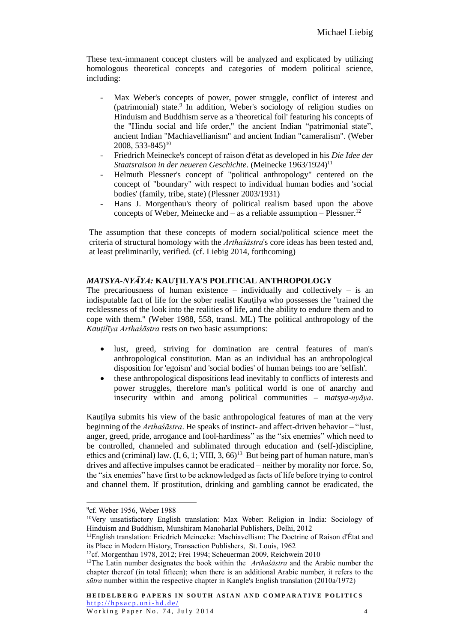These text-immanent concept clusters will be analyzed and explicated by utilizing homologous theoretical concepts and categories of modern political science, including:

- Max Weber's concepts of power, power struggle, conflict of interest and (patrimonial) state.<sup>9</sup> In addition, Weber's sociology of religion studies on Hinduism and Buddhism serve as a 'theoretical foil' featuring his concepts of the "Hindu social and life order," the ancient Indian "patrimonial state", ancient Indian "Machiavellianism" and ancient Indian "cameralism". (Weber  $2008, 533-845)^{10}$
- Friedrich Meinecke's concept of raison d'état as developed in his *Die Idee der Staatsraison in der neueren Geschichte*. (Meinecke 1963/1924)<sup>11</sup>
- Helmuth Plessner's concept of "political anthropology" centered on the concept of "boundary" with respect to individual human bodies and 'social bodies' (family, tribe, state) (Plessner 2003/1931)
- Hans J. Morgenthau's theory of political realism based upon the above concepts of Weber, Meinecke and  $-$  as a reliable assumption  $-$  Plessner.<sup>12</sup>

The assumption that these concepts of modern social/political science meet the criteria of structural homology with the *Arthaśāstra*'s core ideas has been tested and, at least preliminarily, verified. (cf. Liebig 2014, forthcoming)

# *MATSYA-NYĀYA:* **KAUṬILYA'S POLITICAL ANTHROPOLOGY**

The precariousness of human existence – individually and collectively – is an indisputable fact of life for the sober realist Kauṭilya who possesses the "trained the recklessness of the look into the realities of life, and the ability to endure them and to cope with them." (Weber 1988, 558, transl. ML) The political anthropology of the *Kauṭilīya Arthaśāstra* rests on two basic assumptions:

- lust, greed, striving for domination are central features of man's anthropological constitution. Man as an individual has an anthropological disposition for 'egoism' and 'social bodies' of human beings too are 'selfish'.
- these anthropological dispositions lead inevitably to conflicts of interests and power struggles, therefore man's political world is one of anarchy and insecurity within and among political communities – *matsya-nyāya*.

Kautilya submits his view of the basic anthropological features of man at the very beginning of the *Arthaśāstra*. He speaks of instinct- and affect-driven behavior – "lust, anger, greed, pride, arrogance and fool-hardiness" as the "six enemies" which need to be controlled, channeled and sublimated through education and (self-)discipline, ethics and (criminal) law.  $(I, 6, 1; VIII, 3, 66)^{13}$  But being part of human nature, man's drives and affective impulses cannot be eradicated – neither by morality nor force. So, the "six enemies" have first to be acknowledged as facts of life before trying to control and channel them. If prostitution, drinking and gambling cannot be eradicated, the

<sup>9</sup> cf. Weber 1956, Weber 1988

<sup>10</sup>Very unsatisfactory English translation: Max Weber: Religion in India: Sociology of Hinduism and Buddhism, Munshiram Manoharlal Publishers, Delhi, 2012

<sup>11</sup>English translation: Friedrich Meinecke: Machiavellism: The Doctrine of Raison d'État and its Place in Modern History, Transaction Publishers, St. Louis, 1962

<sup>12</sup>cf. Morgenthau 1978, 2012; Frei 1994; Scheuerman 2009, Reichwein 2010

<sup>13</sup>The Latin number designates the book within the *Arthaśāstra* and the Arabic number the chapter thereof (in total fifteen); when there is an additional Arabic number, it refers to the *sūtra* number within the respective chapter in Kangle's English translation (2010a/1972)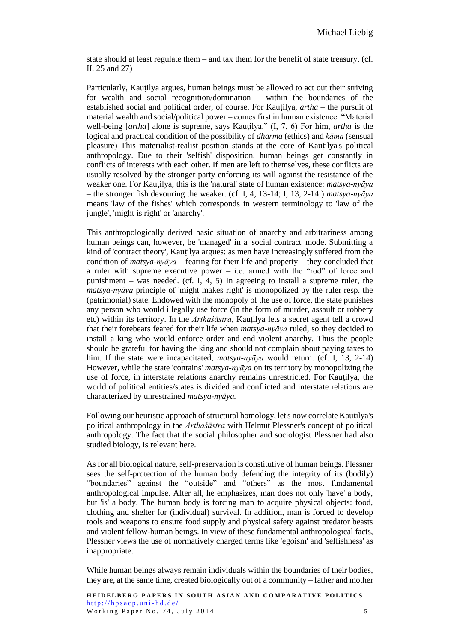state should at least regulate them – and tax them for the benefit of state treasury. (cf. II, 25 and 27)

Particularly, Kauṭilya argues, human beings must be allowed to act out their striving for wealth and social recognition/domination – within the boundaries of the established social and political order, of course. For Kauṭilya, *artha* – the pursuit of material wealth and social/political power – comes first in human existence: "Material well-being [*artha*] alone is supreme, says Kauṭilya." (I, 7, 6) For him, *artha* is the logical and practical condition of the possibility of *dharma* (ethics) and *kāma* (sensual pleasure) This materialist-realist position stands at the core of Kauṭilya's political anthropology. Due to their 'selfish' disposition, human beings get constantly in conflicts of interests with each other. If men are left to themselves, these conflicts are usually resolved by the stronger party enforcing its will against the resistance of the weaker one. For Kauṭilya, this is the 'natural' state of human existence: *matsya-nyāya* – the stronger fish devouring the weaker. (cf. I, 4, 13-14; I, 13, 2-14 ) *matsya-nyāya* means 'law of the fishes' which corresponds in western terminology to 'law of the jungle', 'might is right' or 'anarchy'.

This anthropologically derived basic situation of anarchy and arbitrariness among human beings can, however, be 'managed' in a 'social contract' mode. Submitting a kind of 'contract theory', Kauṭilya argues: as men have increasingly suffered from the condition of *matsya-nyāya* – fearing for their life and property – they concluded that a ruler with supreme executive power – i.e. armed with the "rod" of force and punishment – was needed. (cf. I, 4, 5) In agreeing to install a supreme ruler, the *matsya-nyāya* principle of 'might makes right' is monopolized by the ruler resp. the (patrimonial) state. Endowed with the monopoly of the use of force, the state punishes any person who would illegally use force (in the form of murder, assault or robbery etc) within its territory. In the *Arthaśāstra*, Kauṭilya lets a secret agent tell a crowd that their forebears feared for their life when *matsya-nyāya* ruled, so they decided to install a king who would enforce order and end violent anarchy. Thus the people should be grateful for having the king and should not complain about paying taxes to him. If the state were incapacitated, *matsya-nyāya* would return. (cf. I, 13, 2-14) However, while the state 'contains' *matsya-nyāya* on its territory by monopolizing the use of force, in interstate relations anarchy remains unrestricted. For Kauṭilya, the world of political entities/states is divided and conflicted and interstate relations are characterized by unrestrained *matsya-nyāya.*

Following our heuristic approach of structural homology, let's now correlate Kauṭilya's political anthropology in the *Arthaśāstra* with Helmut Plessner's concept of political anthropology. The fact that the social philosopher and sociologist Plessner had also studied biology, is relevant here.

As for all biological nature, self-preservation is constitutive of human beings. Plessner sees the self-protection of the human body defending the integrity of its (bodily) "boundaries" against the "outside" and "others" as the most fundamental anthropological impulse. After all, he emphasizes, man does not only 'have' a body, but 'is' a body. The human body is forcing man to acquire physical objects: food, clothing and shelter for (individual) survival. In addition, man is forced to develop tools and weapons to ensure food supply and physical safety against predator beasts and violent fellow-human beings. In view of these fundamental anthropological facts, Plessner views the use of normatively charged terms like 'egoism' and 'selfishness' as inappropriate.

While human beings always remain individuals within the boundaries of their bodies, they are, at the same time, created biologically out of a community – father and mother

**HEIDELBERG PAPERS IN SOUTH ASIAN AND COMPARATIVE POLITICS**  $http://hpsacp.uni-hd.de/$ W orking Paper No. 74, July 2014 5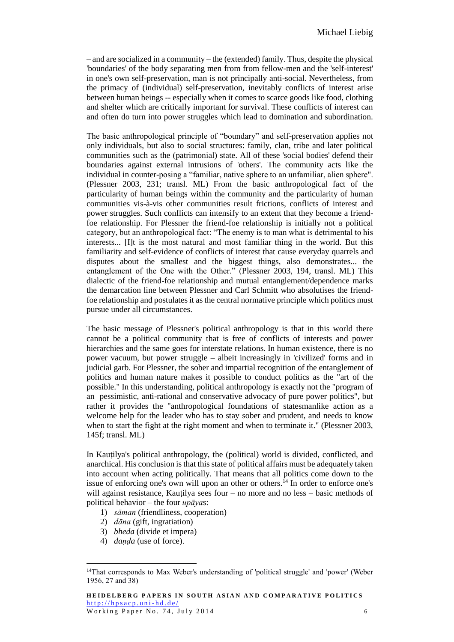– and are socialized in a community – the (extended) family. Thus, despite the physical 'boundaries' of the body separating men from from fellow-men and the 'self-interest' in one's own self-preservation, man is not principally anti-social. Nevertheless, from the primacy of (individual) self-preservation, inevitably conflicts of interest arise between human beings -- especially when it comes to scarce goods like food, clothing and shelter which are critically important for survival. These conflicts of interest can and often do turn into power struggles which lead to domination and subordination.

The basic anthropological principle of "boundary" and self-preservation applies not only individuals, but also to social structures: family, clan, tribe and later political communities such as the (patrimonial) state. All of these 'social bodies' defend their boundaries against external intrusions of 'others'. The community acts like the individual in counter-posing a "familiar, native sphere to an unfamiliar, alien sphere". (Plessner 2003, 231; transl. ML) From the basic anthropological fact of the particularity of human beings within the community and the particularity of human communities vis-à-vis other communities result frictions, conflicts of interest and power struggles. Such conflicts can intensify to an extent that they become a friendfoe relationship. For Plessner the friend-foe relationship is initially not a political category, but an anthropological fact: "The enemy is to man what is detrimental to his interests... [I]t is the most natural and most familiar thing in the world. But this familiarity and self-evidence of conflicts of interest that cause everyday quarrels and disputes about the smallest and the biggest things, also demonstrates... the entanglement of the One with the Other." (Plessner 2003, 194, transl. ML) This dialectic of the friend-foe relationship and mutual entanglement/dependence marks the demarcation line between Plessner and Carl Schmitt who absolutises the friendfoe relationship and postulates it as the central normative principle which politics must pursue under all circumstances.

The basic message of Plessner's political anthropology is that in this world there cannot be a political community that is free of conflicts of interests and power hierarchies and the same goes for interstate relations. In human existence, there is no power vacuum, but power struggle – albeit increasingly in 'civilized' forms and in judicial garb. For Plessner, the sober and impartial recognition of the entanglement of politics and human nature makes it possible to conduct politics as the "art of the possible." In this understanding, political anthropology is exactly not the "program of an pessimistic, anti-rational and conservative advocacy of pure power politics", but rather it provides the "anthropological foundations of statesmanlike action as a welcome help for the leader who has to stay sober and prudent, and needs to know when to start the fight at the right moment and when to terminate it." (Plessner 2003, 145f; transl. ML)

In Kauṭilya's political anthropology, the (political) world is divided, conflicted, and anarchical. His conclusion is that this state of political affairs must be adequately taken into account when acting politically. That means that all politics come down to the issue of enforcing one's own will upon an other or others.<sup> $14$ </sup> In order to enforce one's will against resistance, Kautilya sees four – no more and no less – basic methods of political behavior – the four *upāya*s:

- 1) *sāman* (friendliness, cooperation)
- 2) *dāna* (gift, ingratiation)
- 3) *bheda* (divide et impera)
- 4) *daṇḍa* (use of force).

<sup>14</sup>That corresponds to Max Weber's understanding of 'political struggle' and 'power' (Weber 1956, 27 and 38)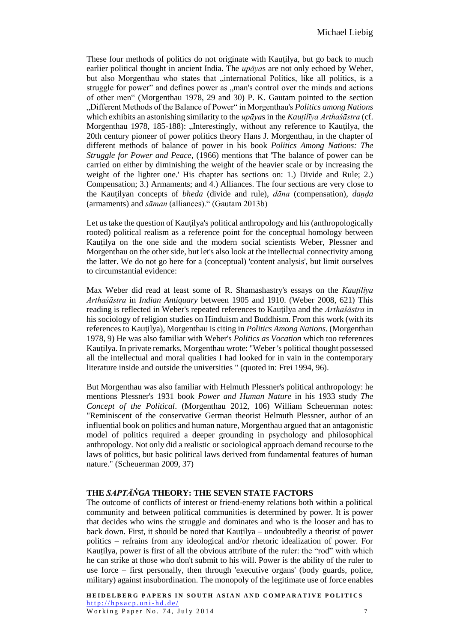These four methods of politics do not originate with Kauṭilya, but go back to much earlier political thought in ancient India. The *upāya*s are not only echoed by Weber, but also Morgenthau who states that "international Politics, like all politics, is a struggle for power" and defines power as ,,man's control over the minds and actions of other men" (Morgenthau 1978, 29 and 30) P. K. Gautam pointed to the section "Different Methods of the Balance of Power" in Morgenthau's *Politics among Nations* which exhibits an astonishing similarity to the *upāya*s in the *Kauṭilīya Arthaśāstra* (cf. Morgenthau 1978, 185-188): "Interestingly, without any reference to Kautilya, the 20th century pioneer of power politics theory Hans J. Morgenthau, in the chapter of different methods of balance of power in his book *Politics Among Nations: The Struggle for Power and Peace*, (1966) mentions that 'The balance of power can be carried on either by diminishing the weight of the heavier scale or by increasing the weight of the lighter one.' His chapter has sections on: 1.) Divide and Rule; 2.) Compensation; 3.) Armaments; and 4.) Alliances. The four sections are very close to the Kauṭilyan concepts of *bheda* (divide and rule), *dāna* (compensation), *daṇḍa* (armaments) and *sāman* (alliances)." (Gautam 2013b)

Let us take the question of Kauṭilya's political anthropology and his (anthropologically rooted) political realism as a reference point for the conceptual homology between Kauṭilya on the one side and the modern social scientists Weber, Plessner and Morgenthau on the other side, but let's also look at the intellectual connectivity among the latter. We do not go here for a (conceptual) 'content analysis', but limit ourselves to circumstantial evidence:

Max Weber did read at least some of R. Shamashastry's essays on the *Kauṭilīya Arthaśāstra* in *Indian Antiquary* between 1905 and 1910. (Weber 2008, 621) This reading is reflected in Weber's repeated references to Kauṭilya and the *Arthaśāstra* in his sociology of religion studies on Hinduism and Buddhism. From this work (with its references to Kauṭilya), Morgenthau is citing in *Politics Among Nations*. (Morgenthau 1978, 9) He was also familiar with Weber's *Politics as Vocation* which too references Kautilya. In private remarks, Morgenthau wrote: "Weber 's political thought possessed all the intellectual and moral qualities I had looked for in vain in the contemporary literature inside and outside the universities " (quoted in: Frei 1994, 96).

But Morgenthau was also familiar with Helmuth Plessner's political anthropology: he mentions Plessner's 1931 book *Power and Human Nature* in his 1933 study *The Concept of the Political*. (Morgenthau 2012, 106) William Scheuerman notes: "Reminiscent of the conservative German theorist Helmuth Plessner, author of an influential book on politics and human nature, Morgenthau argued that an antagonistic model of politics required a deeper grounding in psychology and philosophical anthropology. Not only did a realistic or sociological approach demand recourse to the laws of politics, but basic political laws derived from fundamental features of human nature." (Scheuerman 2009, 37)

#### **THE** *SAPTĀṄGA* **THEORY: THE SEVEN STATE FACTORS**

The outcome of conflicts of interest or friend-enemy relations both within a political community and between political communities is determined by power. It is power that decides who wins the struggle and dominates and who is the looser and has to back down. First, it should be noted that Kauṭilya – undoubtedly a theorist of power politics – refrains from any ideological and/or rhetoric idealization of power. For Kautilya, power is first of all the obvious attribute of the ruler: the "rod" with which he can strike at those who don't submit to his will. Power is the ability of the ruler to use force – first personally, then through 'executive organs' (body guards, police, military) against insubordination. The monopoly of the legitimate use of force enables

**HEIDELBERG PAPERS IN SOUTH ASIAN AND COMPARATIVE POLITICS**  $http://hpsacp.uni-hd.de/$ Working Paper No.  $74$ , July  $2014$   $7$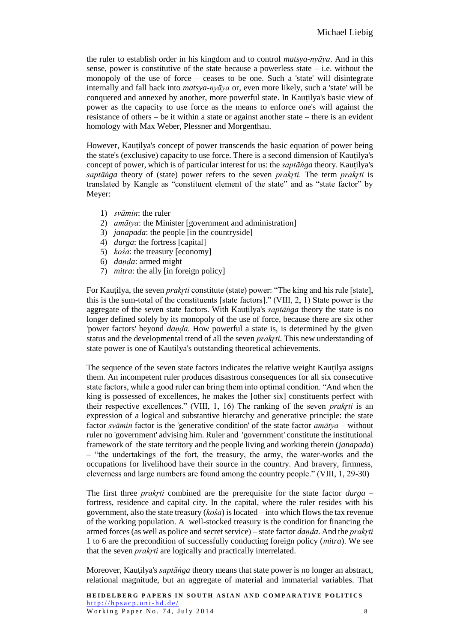the ruler to establish order in his kingdom and to control *matsya-nyāya*. And in this sense, power is constitutive of the state because a powerless state  $-$  i.e. without the monopoly of the use of force – ceases to be one. Such a 'state' will disintegrate internally and fall back into *matsya-nyāya* or, even more likely, such a 'state' will be conquered and annexed by another, more powerful state. In Kautilya's basic view of power as the capacity to use force as the means to enforce one's will against the resistance of others – be it within a state or against another state – there is an evident homology with Max Weber, Plessner and Morgenthau.

However, Kauṭilya's concept of power transcends the basic equation of power being the state's (exclusive) capacity to use force. There is a second dimension of Kauṭilya's concept of power, which is of particular interest for us: the *saptāṅga* theory. Kauṭilya's *saptāṅga* theory of (state) power refers to the seven *prakr̥ti.* The term *prakr̥ti* is translated by Kangle as "constituent element of the state" and as "state factor" by Meyer:

- 1) *svāmin*: the ruler
- 2) *amātya*: the Minister [government and administration]
- 3) *janapada*: the people [in the countryside]
- 4) *durga*: the fortress [capital]
- 5) *kośa*: the treasury [economy]
- 6) *daṇḍa*: armed might
- 7) *mitra*: the ally [in foreign policy]

For Kautilya, the seven *prakrti* constitute (state) power: "The king and his rule [state], this is the sum-total of the constituents [state factors]." (VIII, 2, 1) State power is the aggregate of the seven state factors. With Kauṭilya's *saptāṅga* theory the state is no longer defined solely by its monopoly of the use of force, because there are six other 'power factors' beyond *daṇḍa*. How powerful a state is, is determined by the given status and the developmental trend of all the seven *prakrti*. This new understanding of state power is one of Kautilya's outstanding theoretical achievements.

The sequence of the seven state factors indicates the relative weight Kauṭilya assigns them. An incompetent ruler produces disastrous consequences for all six consecutive state factors, while a good ruler can bring them into optimal condition. "And when the king is possessed of excellences, he makes the [other six] constituents perfect with their respective excellences." (VIII, 1, 16) The ranking of the seven *prakrti* is an expression of a logical and substantive hierarchy and generative principle: the state factor *svāmin* factor is the 'generative condition' of the state factor *amātya* – without ruler no 'government' advising him. Ruler and 'government' constitute the institutional framework of the state territory and the people living and working therein (*janapada*) – "the undertakings of the fort, the treasury, the army, the water-works and the occupations for livelihood have their source in the country. And bravery, firmness, cleverness and large numbers are found among the country people." (VIII, 1, 29-30)

The first three *prakr̥ti* combined are the prerequisite for the state factor *durga* – fortress, residence and capital city. In the capital, where the ruler resides with his government, also the state treasury (*kośa*) is located – into which flows the tax revenue of the working population. A well-stocked treasury is the condition for financing the armed forces (as well as police and secret service) – state factor *daṇḍa*. And the *prakr̥ti* 1 to 6 are the precondition of successfully conducting foreign policy (*mitra*). We see that the seven *prakr̥ti* are logically and practically interrelated.

Moreover, Kauṭilya's *saptāṅga* theory means that state power is no longer an abstract, relational magnitude, but an aggregate of material and immaterial variables. That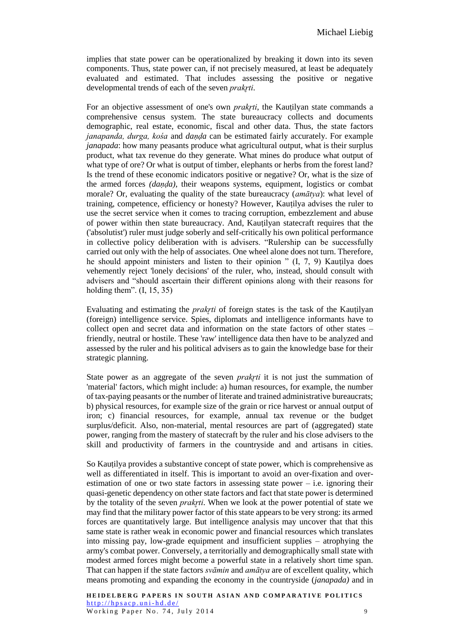implies that state power can be operationalized by breaking it down into its seven components. Thus, state power can, if not precisely measured, at least be adequately evaluated and estimated. That includes assessing the positive or negative developmental trends of each of the seven *prakrti*.

For an objective assessment of one's own *prakrti*, the Kautilyan state commands a comprehensive census system. The state bureaucracy collects and documents demographic, real estate, economic, fiscal and other data. Thus, the state factors *janapanda, durga, kośa* and *daṇḍa* can be estimated fairly accurately. For example *janapada*: how many peasants produce what agricultural output, what is their surplus product, what tax revenue do they generate. What mines do produce what output of what type of ore? Or what is output of timber, elephants or herbs from the forest land? Is the trend of these economic indicators positive or negative? Or, what is the size of the armed forces *(daṇḍa)*, their weapons systems, equipment, logistics or combat morale? Or, evaluating the quality of the state bureaucracy (*amātya*): what level of training, competence, efficiency or honesty? However, Kauṭilya advises the ruler to use the secret service when it comes to tracing corruption, embezzlement and abuse of power within then state bureaucracy. And, Kauṭilyan statecraft requires that the ('absolutist') ruler must judge soberly and self-critically his own political performance in collective policy deliberation with is advisers. "Rulership can be successfully carried out only with the help of associates. One wheel alone does not turn. Therefore, he should appoint ministers and listen to their opinion " (I, 7, 9) Kauṭilya does vehemently reject 'lonely decisions' of the ruler, who, instead, should consult with advisers and "should ascertain their different opinions along with their reasons for holding them". (I, 15, 35)

Evaluating and estimating the *prakyti* of foreign states is the task of the Kautilyan (foreign) intelligence service. Spies, diplomats and intelligence informants have to collect open and secret data and information on the state factors of other states – friendly, neutral or hostile. These 'raw' intelligence data then have to be analyzed and assessed by the ruler and his political advisers as to gain the knowledge base for their strategic planning.

State power as an aggregate of the seven *prakr*<sub>ti</sub> it is not just the summation of 'material' factors, which might include: a) human resources, for example, the number of tax-paying peasants or the number of literate and trained administrative bureaucrats; b) physical resources, for example size of the grain or rice harvest or annual output of iron; c) financial resources, for example, annual tax revenue or the budget surplus/deficit. Also, non-material, mental resources are part of (aggregated) state power, ranging from the mastery of statecraft by the ruler and his close advisers to the skill and productivity of farmers in the countryside and and artisans in cities.

So Kauṭilya provides a substantive concept of state power, which is comprehensive as well as differentiated in itself. This is important to avoid an over-fixation and overestimation of one or two state factors in assessing state power  $-$  i.e. ignoring their quasi-genetic dependency on other state factors and fact that state power is determined by the totality of the seven *prakrti*. When we look at the power potential of state we may find that the military power factor of this state appears to be very strong: its armed forces are quantitatively large. But intelligence analysis may uncover that that this same state is rather weak in economic power and financial resources which translates into missing pay, low-grade equipment and insufficient supplies – atrophying the army's combat power. Conversely, a territorially and demographically small state with modest armed forces might become a powerful state in a relatively short time span. That can happen if the state factors *svāmin* and *amātya* are of excellent quality, which means promoting and expanding the economy in the countryside (*janapada)* and in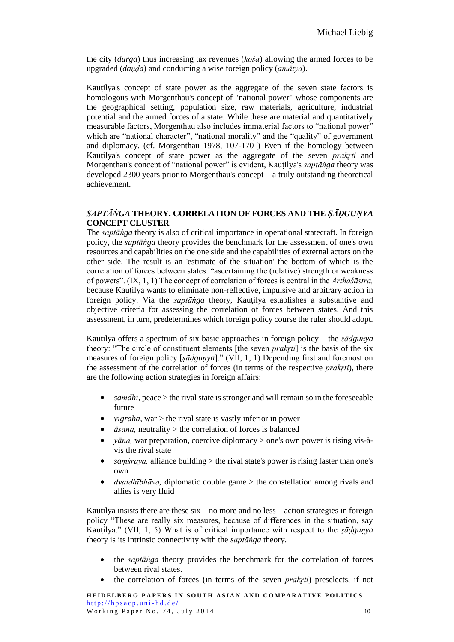the city (*durga*) thus increasing tax revenues (*kośa*) allowing the armed forces to be upgraded (*daṇḍa*) and conducting a wise foreign policy (*amātya*).

Kautilya's concept of state power as the aggregate of the seven state factors is homologous with Morgenthau's concept of "national power" whose components are the geographical setting, population size, raw materials, agriculture, industrial potential and the armed forces of a state. While these are material and quantitatively measurable factors, Morgenthau also includes immaterial factors to "national power" which are "national character", "national morality" and the "quality" of government and diplomacy. (cf. Morgenthau 1978, 107-170 ) Even if the homology between Kauṭilya's concept of state power as the aggregate of the seven *prakr̥ti* and Morgenthau's concept of "national power" is evident, Kauṭilya's *saptāṅga* theory was developed 2300 years prior to Morgenthau's concept – a truly outstanding theoretical achievement.

# *SAPTĀṄGA* **THEORY, CORRELATION OF FORCES AND THE** *ṢĀḌGUṆYA* **CONCEPT CLUSTER**

The *saptāṅga* theory is also of critical importance in operational statecraft. In foreign policy, the *saptāṅga* theory provides the benchmark for the assessment of one's own resources and capabilities on the one side and the capabilities of external actors on the other side. The result is an 'estimate of the situation' the bottom of which is the correlation of forces between states: "ascertaining the (relative) strength or weakness of powers". (IX, 1, 1) The concept of correlation of forces is central in the *Arthaśāstra,* because Kauṭilya wants to eliminate non-reflective, impulsive and arbitrary action in foreign policy. Via the *saptāṅga* theory, Kauṭilya establishes a substantive and objective criteria for assessing the correlation of forces between states. And this assessment, in turn, predetermines which foreign policy course the ruler should adopt.

Kauṭilya offers a spectrum of six basic approaches in foreign policy – the *ṣāḍguṇya* theory: "The circle of constituent elements [the seven *prakr̥ti*] is the basis of the six measures of foreign policy [*ṣāḍguṇya*]." (VII, 1, 1) Depending first and foremost on the assessment of the correlation of forces (in terms of the respective *prakrti*), there are the following action strategies in foreign affairs:

- *samdhi*, peace > the rival state is stronger and will remain so in the foreseeable future
- *vigraha,* war > the rival state is vastly inferior in power
- *āsana,* neutrality > the correlation of forces is balanced
- *yāna,* war preparation, coercive diplomacy > one's own power is rising vis-àvis the rival state
- *saṃśraya,* alliance building > the rival state's power is rising faster than one's own
- *dvaidhībhāva,* diplomatic double game > the constellation among rivals and allies is very fluid

Kautilya insists there are these  $s\overline{x}$  – no more and no less – action strategies in foreign policy "These are really six measures, because of differences in the situation, say Kauṭilya." (VII, 1, 5) What is of critical importance with respect to the *ṣāḍguṇya* theory is its intrinsic connectivity with the *saptāṅga* theory.

- the *saptāṅga* theory provides the benchmark for the correlation of forces between rival states.
- the correlation of forces (in terms of the seven *prakr̥ti*) preselects, if not

**HEIDELBERG PAPERS IN SOUTH ASIAN AND COMPARATIVE POLITICS**  $http://hpsacp.uni-hd.de/$ Working Paper No. 74, July 2014 10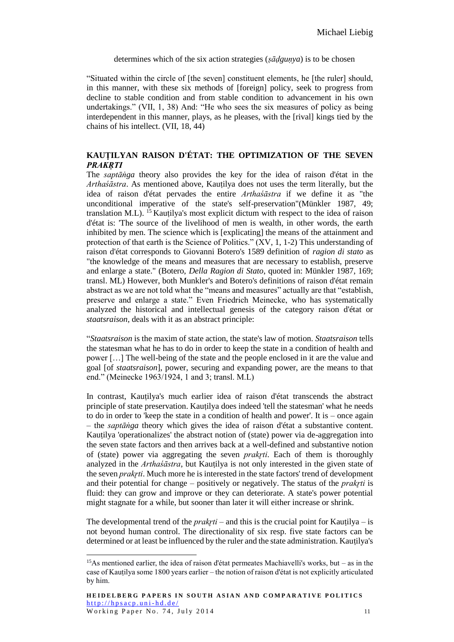#### determines which of the six action strategies (*ṣāḍguṇya*) is to be chosen

"Situated within the circle of [the seven] constituent elements, he [the ruler] should, in this manner, with these six methods of [foreign] policy, seek to progress from decline to stable condition and from stable condition to advancement in his own undertakings." (VII, 1, 38) And: "He who sees the six measures of policy as being interdependent in this manner, plays, as he pleases, with the [rival] kings tied by the chains of his intellect. (VII, 18, 44)

# **KAUṬILYAN RAISON D'ÉTAT: THE OPTIMIZATION OF THE SEVEN**  *PRAKR̥TI*

The *saptāṅga* theory also provides the key for the idea of raison d'état in the *Arthaśāstra*. As mentioned above, Kauṭilya does not uses the term literally, but the idea of raison d'état pervades the entire *Arthaśāstra* if we define it as "the unconditional imperative of the state's self-preservation"(Münkler 1987, 49; translation M.L). <sup>15</sup> Kautilya's most explicit dictum with respect to the idea of raison d'état is: 'The source of the livelihood of men is wealth, in other words, the earth inhibited by men. The science which is [explicating] the means of the attainment and protection of that earth is the Science of Politics." (XV, 1, 1-2) This understanding of raison d'état corresponds to Giovanni Botero's 1589 definition of *ragion di stato* as "the knowledge of the means and measures that are necessary to establish, preserve and enlarge a state." (Botero, *Della Ragion di Stato*, quoted in: Münkler 1987, 169; transl. ML) However, both Munkler's and Botero's definitions of raison d'état remain abstract as we are not told what the "means and measures" actually are that "establish, preserve and enlarge a state." Even Friedrich Meinecke, who has systematically analyzed the historical and intellectual genesis of the category raison d'état or *staatsraison*, deals with it as an abstract principle:

"*Staatsraison* is the maxim of state action, the state's law of motion. *Staatsraison* tells the statesman what he has to do in order to keep the state in a condition of health and power […] The well-being of the state and the people enclosed in it are the value and goal [of *staatsraison*], power, securing and expanding power, are the means to that end." (Meinecke 1963/1924, 1 and 3; transl. M.L)

In contrast, Kauṭilya's much earlier idea of raison d'état transcends the abstract principle of state preservation. Kauṭilya does indeed 'tell the statesman' what he needs to do in order to 'keep the state in a condition of health and power'. It is – once again – the *saptāṅga* theory which gives the idea of raison d'état a substantive content. Kautilya 'operationalizes' the abstract notion of (state) power via de-aggregation into the seven state factors and then arrives back at a well-defined and substantive notion of (state) power via aggregating the seven *prakr̥ti*. Each of them is thoroughly analyzed in the *Arthaśāstra*, but Kauṭilya is not only interested in the given state of the seven *prakr̥ti*. Much more he is interested in the state factors' trend of development and their potential for change – positively or negatively. The status of the *prakr*<sub>ti</sub> is fluid: they can grow and improve or they can deteriorate. A state's power potential might stagnate for a while, but sooner than later it will either increase or shrink.

The developmental trend of the *prakrti* – and this is the crucial point for Kautilya – is not beyond human control. The directionality of six resp. five state factors can be determined or at least be influenced by the ruler and the state administration. Kauṭilya's

<sup>15</sup>As mentioned earlier, the idea of raison d'état permeates Machiavelli's works, but – as in the case of Kauṭilya some 1800 years earlier – the notion of raison d'état is not explicitly articulated by him.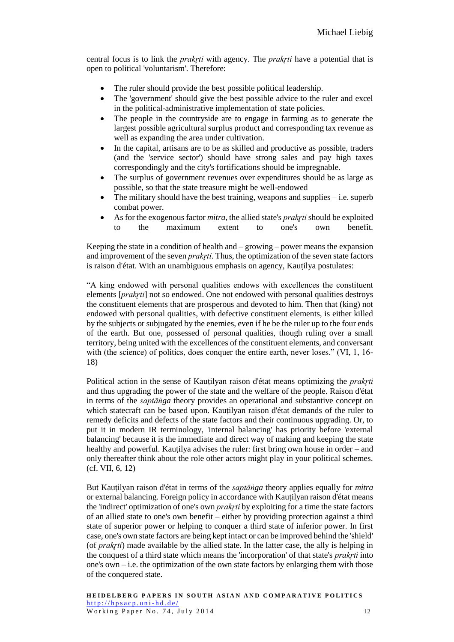central focus is to link the *prakr*<sub>ti</sub> with agency. The *prakr*<sub>ti</sub> have a potential that is open to political 'voluntarism'. Therefore:

- The ruler should provide the best possible political leadership.
- The 'government' should give the best possible advice to the ruler and excel in the political-administrative implementation of state policies.
- The people in the countryside are to engage in farming as to generate the largest possible agricultural surplus product and corresponding tax revenue as well as expanding the area under cultivation.
- In the capital, artisans are to be as skilled and productive as possible, traders (and the 'service sector') should have strong sales and pay high taxes correspondingly and the city's fortifications should be impregnable.
- The surplus of government revenues over expenditures should be as large as possible, so that the state treasure might be well-endowed
- The military should have the best training, we apons and supplies  $-$  i.e. superb combat power.
- As for the exogenous factor *mitra*, the allied state's *prakrti* should be exploited to the maximum extent to one's own benefit.

Keeping the state in a condition of health and – growing – power means the expansion and improvement of the seven *prakr*ti. Thus, the optimization of the seven state factors is raison d'état. With an unambiguous emphasis on agency, Kauṭilya postulates:

"A king endowed with personal qualities endows with excellences the constituent elements [*prakr̥ti*] not so endowed. One not endowed with personal qualities destroys the constituent elements that are prosperous and devoted to him. Then that (king) not endowed with personal qualities, with defective constituent elements, is either killed by the subjects or subjugated by the enemies, even if he be the ruler up to the four ends of the earth. But one, possessed of personal qualities, though ruling over a small territory, being united with the excellences of the constituent elements, and conversant with (the science) of politics, does conquer the entire earth, never loses." (VI, 1, 16-18)

Political action in the sense of Kautilyan raison d'état means optimizing the *prakrti* and thus upgrading the power of the state and the welfare of the people. Raison d'état in terms of the *saptāṅga* theory provides an operational and substantive concept on which statecraft can be based upon. Kauṭilyan raison d'état demands of the ruler to remedy deficits and defects of the state factors and their continuous upgrading. Or, to put it in modern IR terminology, 'internal balancing' has priority before 'external balancing' because it is the immediate and direct way of making and keeping the state healthy and powerful. Kautilya advises the ruler: first bring own house in order – and only thereafter think about the role other actors might play in your political schemes. (cf. VII, 6, 12)

But Kauṭilyan raison d'état in terms of the *saptāṅga* theory applies equally for *mitra* or external balancing. Foreign policy in accordance with Kauṭilyan raison d'état means the 'indirect' optimization of one's own *prakrti* by exploiting for a time the state factors of an allied state to one's own benefit – either by providing protection against a third state of superior power or helping to conquer a third state of inferior power. In first case, one's own state factors are being kept intact or can be improved behind the 'shield' (of *prakr̥ti*) made available by the allied state. In the latter case, the ally is helping in the conquest of a third state which means the 'incorporation' of that state's *prakr̥ti* into one's own  $-i.e.$  the optimization of the own state factors by enlarging them with those of the conquered state.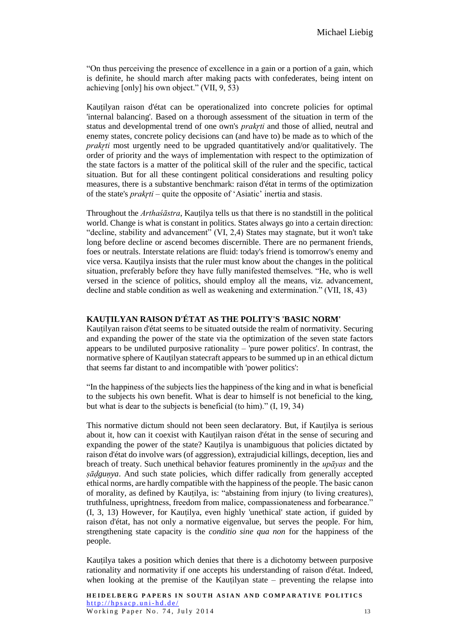"On thus perceiving the presence of excellence in a gain or a portion of a gain, which is definite, he should march after making pacts with confederates, being intent on achieving [only] his own object." (VII, 9, 53)

Kautilyan raison d'état can be operationalized into concrete policies for optimal 'internal balancing'. Based on a thorough assessment of the situation in term of the status and developmental trend of one own's *prakrti* and those of allied, neutral and enemy states, concrete policy decisions can (and have to) be made as to which of the *prakrti* most urgently need to be upgraded quantitatively and/or qualitatively. The order of priority and the ways of implementation with respect to the optimization of the state factors is a matter of the political skill of the ruler and the specific, tactical situation. But for all these contingent political considerations and resulting policy measures, there is a substantive benchmark: raison d'état in terms of the optimization of the state's *prakr<sub>ti*</sub> – quite the opposite of 'Asiatic' inertia and stasis.

Throughout the *Arthaśāstra*, Kauṭilya tells us that there is no standstill in the political world. Change is what is constant in politics. States always go into a certain direction: "decline, stability and advancement" (VI, 2,4) States may stagnate, but it won't take long before decline or ascend becomes discernible. There are no permanent friends, foes or neutrals. Interstate relations are fluid: today's friend is tomorrow's enemy and vice versa. Kauṭilya insists that the ruler must know about the changes in the political situation, preferably before they have fully manifested themselves. "He, who is well versed in the science of politics, should employ all the means, viz. advancement, decline and stable condition as well as weakening and extermination." (VII, 18, 43)

### **KAUṬILYAN RAISON D'ÉTAT AS THE POLITY'S 'BASIC NORM'**

Kauṭilyan raison d'état seems to be situated outside the realm of normativity. Securing and expanding the power of the state via the optimization of the seven state factors appears to be undiluted purposive rationality – 'pure power politics'. In contrast, the normative sphere of Kauṭilyan statecraft appears to be summed up in an ethical dictum that seems far distant to and incompatible with 'power politics':

"In the happiness of the subjects lies the happiness of the king and in what is beneficial to the subjects his own benefit. What is dear to himself is not beneficial to the king, but what is dear to the subjects is beneficial (to him)." (I, 19, 34)

This normative dictum should not been seen declaratory. But, if Kauṭilya is serious about it, how can it coexist with Kauṭilyan raison d'état in the sense of securing and expanding the power of the state? Kautilya is unambiguous that policies dictated by raison d'état do involve wars (of aggression), extrajudicial killings, deception, lies and breach of treaty. Such unethical behavior features prominently in the *upāyas* and the *ṣāḍguṇya*. And such state policies, which differ radically from generally accepted ethical norms, are hardly compatible with the happiness of the people. The basic canon of morality, as defined by Kauṭilya, is: "abstaining from injury (to living creatures), truthfulness, uprightness, freedom from malice, compassionateness and forbearance." (I, 3, 13) However, for Kauṭilya, even highly 'unethical' state action, if guided by raison d'état, has not only a normative eigenvalue, but serves the people. For him, strengthening state capacity is the *conditio sine qua non* for the happiness of the people.

Kautilya takes a position which denies that there is a dichotomy between purposive rationality and normativity if one accepts his understanding of raison d'état. Indeed, when looking at the premise of the Kautilyan state – preventing the relapse into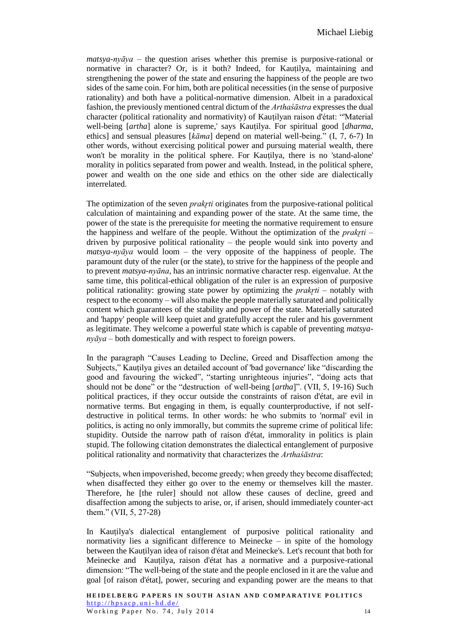*matsya-nyāya* – the question arises whether this premise is purposive-rational or normative in character? Or, is it both? Indeed, for Kauṭilya, maintaining and strengthening the power of the state and ensuring the happiness of the people are two sides of the same coin. For him, both are political necessities (in the sense of purposive rationality) and both have a political-normative dimension. Albeit in a paradoxical fashion, the previously mentioned central dictum of the *Arthaśāstra* expresses the dual character (political rationality and normativity) of Kauṭilyan raison d'état: "'Material well-being [*artha*] alone is supreme,' says Kautilya. For spiritual good [*dharma*, ethics] and sensual pleasures [*kāma*] depend on material well-being." (I, 7, 6-7) In other words, without exercising political power and pursuing material wealth, there won't be morality in the political sphere. For Kauṭilya, there is no 'stand-alone' morality in politics separated from power and wealth. Instead, in the political sphere, power and wealth on the one side and ethics on the other side are dialectically interrelated.

The optimization of the seven *prakr*<sub>ti</sub> originates from the purposive-rational political calculation of maintaining and expanding power of the state. At the same time, the power of the state is the prerequisite for meeting the normative requirement to ensure the happiness and welfare of the people. Without the optimization of the *prakr̥ti* – driven by purposive political rationality – the people would sink into poverty and *matsya-nyāya* would loom – the very opposite of the happiness of people. The paramount duty of the ruler (or the state), to strive for the happiness of the people and to prevent *matsya-nyāna*, has an intrinsic normative character resp. eigenvalue. At the same time, this political-ethical obligation of the ruler is an expression of purposive political rationality: growing state power by optimizing the *prakr̥ti* – notably with respect to the economy – will also make the people materially saturated and politically content which guarantees of the stability and power of the state. Materially saturated and 'happy' people will keep quiet and gratefully accept the ruler and his government as legitimate. They welcome a powerful state which is capable of preventing *matsyanyāya* – both domestically and with respect to foreign powers.

In the paragraph "Causes Leading to Decline, Greed and Disaffection among the Subjects," Kauṭilya gives an detailed account of 'bad governance' like "discarding the good and favouring the wicked", "starting unrighteous injuries", "doing acts that should not be done" or the "destruction of well-being [*artha*]". (VII, 5, 19-16) Such political practices, if they occur outside the constraints of raison d'état, are evil in normative terms. But engaging in them, is equally counterproductive, if not selfdestructive in political terms. In other words: he who submits to 'normal' evil in politics, is acting no only immorally, but commits the supreme crime of political life: stupidity. Outside the narrow path of raison d'état, immorality in politics is plain stupid. The following citation demonstrates the dialectical entanglement of purposive political rationality and normativity that characterizes the *Arthaśāstra*:

"Subjects, when impoverished, become greedy; when greedy they become disaffected; when disaffected they either go over to the enemy or themselves kill the master. Therefore, he [the ruler] should not allow these causes of decline, greed and disaffection among the subjects to arise, or, if arisen, should immediately counter-act them." (VII, 5, 27-28)

In Kauṭilya's dialectical entanglement of purposive political rationality and normativity lies a significant difference to Meinecke – in spite of the homology between the Kauṭilyan idea of raison d'état and Meinecke's. Let's recount that both for Meinecke and Kauṭilya, raison d'état has a normative and a purposive-rational dimension: "The well-being of the state and the people enclosed in it are the value and goal [of raison d'état], power, securing and expanding power are the means to that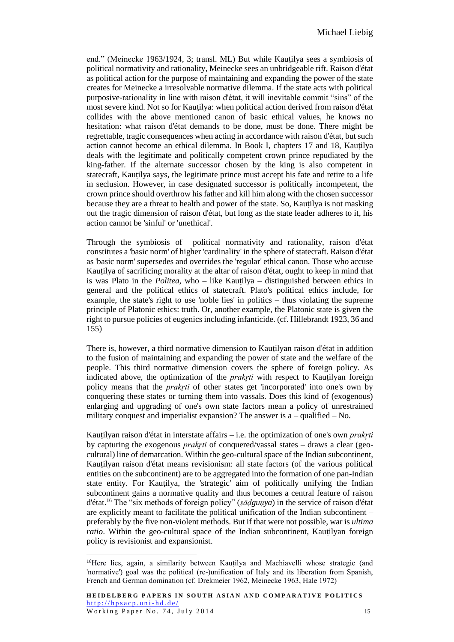end." (Meinecke 1963/1924, 3; transl. ML) But while Kauṭilya sees a symbiosis of political normativity and rationality, Meinecke sees an unbridgeable rift. Raison d'état as political action for the purpose of maintaining and expanding the power of the state creates for Meinecke a irresolvable normative dilemma. If the state acts with political purposive-rationality in line with raison d'état, it will inevitable commit "sins" of the most severe kind. Not so for Kauṭilya: when political action derived from raison d'état collides with the above mentioned canon of basic ethical values, he knows no hesitation: what raison d'état demands to be done, must be done. There might be regrettable, tragic consequences when acting in accordance with raison d'état, but such action cannot become an ethical dilemma. In Book I, chapters 17 and 18, Kautilya deals with the legitimate and politically competent crown prince repudiated by the king-father. If the alternate successor chosen by the king is also competent in statecraft, Kauṭilya says, the legitimate prince must accept his fate and retire to a life in seclusion. However, in case designated successor is politically incompetent, the crown prince should overthrow his father and kill him along with the chosen successor because they are a threat to health and power of the state. So, Kauṭilya is not masking out the tragic dimension of raison d'état, but long as the state leader adheres to it, his action cannot be 'sinful' or 'unethical'.

Through the symbiosis of political normativity and rationality, raison d'état constitutes a 'basic norm' of higher 'cardinality' in the sphere of statecraft. Raison d'état as 'basic norm' supersedes and overrides the 'regular' ethical canon. Those who accuse Kauṭilya of sacrificing morality at the altar of raison d'état, ought to keep in mind that is was Plato in the *Politea*, who – like Kauṭilya – distinguished between ethics in general and the political ethics of statecraft. Plato's political ethics include, for example, the state's right to use 'noble lies' in politics – thus violating the supreme principle of Platonic ethics: truth. Or, another example, the Platonic state is given the right to pursue policies of eugenics including infanticide. (cf. Hillebrandt 1923, 36 and 155)

There is, however, a third normative dimension to Kauṭilyan raison d'état in addition to the fusion of maintaining and expanding the power of state and the welfare of the people. This third normative dimension covers the sphere of foreign policy. As indicated above, the optimization of the *prakr̥ti* with respect to Kauṭilyan foreign policy means that the *prakr̥ti* of other states get 'incorporated' into one's own by conquering these states or turning them into vassals. Does this kind of (exogenous) enlarging and upgrading of one's own state factors mean a policy of unrestrained military conquest and imperialist expansion? The answer is  $a -$  qualified  $-$  No.

Kauṭilyan raison d'état in interstate affairs – i.e. the optimization of one's own *prakr̥ti* by capturing the exogenous *prakrti* of conquered/vassal states – draws a clear (geocultural) line of demarcation. Within the geo-cultural space of the Indian subcontinent, Kautilyan raison d'état means revisionism: all state factors (of the various political entities on the subcontinent) are to be aggregated into the formation of one pan-Indian state entity. For Kauṭilya, the 'strategic' aim of politically unifying the Indian subcontinent gains a normative quality and thus becomes a central feature of raison d'état.<sup>16</sup> The "six methods of foreign policy" (*ṣāḍguṇya*) in the service of raison d'état are explicitly meant to facilitate the political unification of the Indian subcontinent – preferably by the five non-violent methods. But if that were not possible, war is *ultima ratio*. Within the geo-cultural space of the Indian subcontinent, Kauṭilyan foreign policy is revisionist and expansionist.

<sup>&</sup>lt;sup>16</sup>Here lies, again, a similarity between Kauțilya and Machiavelli whose strategic (and 'normative') goal was the political (re-)unification of Italy and its liberation from Spanish, French and German domination (cf. Drekmeier 1962, Meinecke 1963, Hale 1972)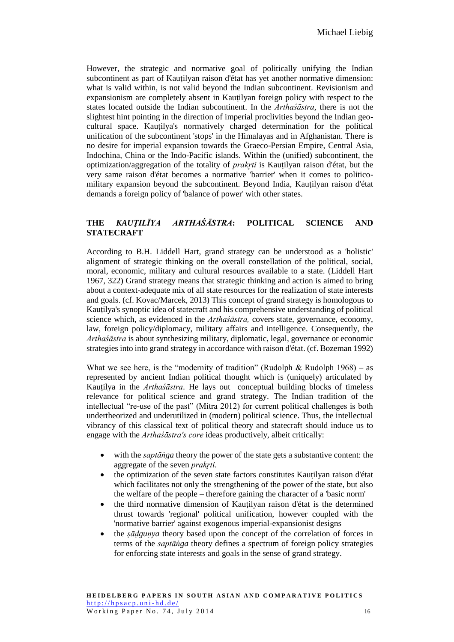However, the strategic and normative goal of politically unifying the Indian subcontinent as part of Kauṭilyan raison d'état has yet another normative dimension: what is valid within, is not valid beyond the Indian subcontinent. Revisionism and expansionism are completely absent in Kauṭilyan foreign policy with respect to the states located outside the Indian subcontinent. In the *Arthaśāstra*, there is not the slightest hint pointing in the direction of imperial proclivities beyond the Indian geocultural space. Kauṭilya's normatively charged determination for the political unification of the subcontinent 'stops' in the Himalayas and in Afghanistan. There is no desire for imperial expansion towards the Graeco-Persian Empire, Central Asia, Indochina, China or the Indo-Pacific islands. Within the (unified) subcontinent, the optimization/aggregation of the totality of *prakr*<sub>ti</sub> is Kautilyan raison d'état, but the very same raison d'état becomes a normative 'barrier' when it comes to politicomilitary expansion beyond the subcontinent. Beyond India, Kauṭilyan raison d'état demands a foreign policy of 'balance of power' with other states.

# **THE** *KAUṬILĪYA ARTHAŚĀSTRA***: POLITICAL SCIENCE AND STATECRAFT**

According to B.H. Liddell Hart, grand strategy can be understood as a 'holistic' alignment of strategic thinking on the overall constellation of the political, social, moral, economic, military and cultural resources available to a state. (Liddell Hart 1967, 322) Grand strategy means that strategic thinking and action is aimed to bring about a context-adequate mix of all state resources for the realization of state interests and goals. (cf. Kovac/Marcek, 2013) This concept of grand strategy is homologous to Kauṭilya's synoptic idea of statecraft and his comprehensive understanding of political science which, as evidenced in the *Arthaśāstra,* covers state, governance, economy, law, foreign policy/diplomacy, military affairs and intelligence. Consequently, the *Arthaśāstra* is about synthesizing military, diplomatic, legal, governance or economic strategies into into grand strategy in accordance with raison d'état. (cf. Bozeman 1992)

What we see here, is the "modernity of tradition" (Rudolph  $\&$  Rudolph 1968) – as represented by ancient Indian political thought which is (uniquely) articulated by Kauṭilya in the *Arthaśāstra*. He lays out conceptual building blocks of timeless relevance for political science and grand strategy. The Indian tradition of the intellectual "re-use of the past" (Mitra 2012) for current political challenges is both undertheorized and underutilized in (modern) political science. Thus, the intellectual vibrancy of this classical text of political theory and statecraft should induce us to engage with the *Arthaśāstra's core* ideas productively, albeit critically:

- with the *saptanga* theory the power of the state gets a substantive content: the aggregate of the seven *prakr̥ti*.
- the optimization of the seven state factors constitutes Kautilyan raison d'état which facilitates not only the strengthening of the power of the state, but also the welfare of the people – therefore gaining the character of a 'basic norm'
- the third normative dimension of Kauṭilyan raison d'état is the determined thrust towards 'regional' political unification, however coupled with the 'normative barrier' against exogenous imperial-expansionist designs
- the *ṣāḍguṇya* theory based upon the concept of the correlation of forces in terms of the *saptāṅga* theory defines a spectrum of foreign policy strategies for enforcing state interests and goals in the sense of grand strategy.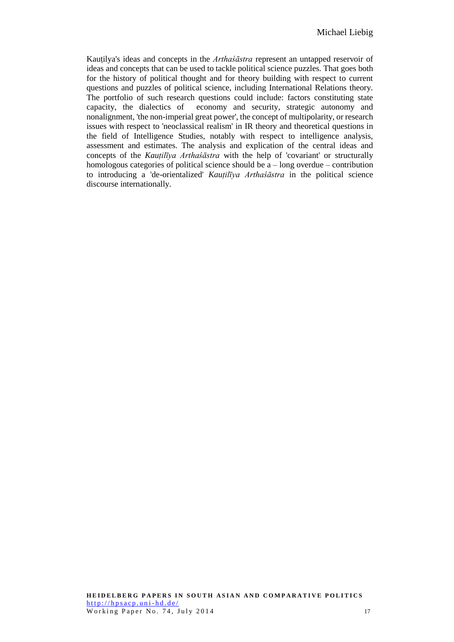Kauṭilya's ideas and concepts in the *Arthaśāstra* represent an untapped reservoir of ideas and concepts that can be used to tackle political science puzzles. That goes both for the history of political thought and for theory building with respect to current questions and puzzles of political science, including International Relations theory. The portfolio of such research questions could include: factors constituting state capacity, the dialectics of economy and security, strategic autonomy and nonalignment, 'the non-imperial great power', the concept of multipolarity, or research issues with respect to 'neoclassical realism' in IR theory and theoretical questions in the field of Intelligence Studies, notably with respect to intelligence analysis, assessment and estimates. The analysis and explication of the central ideas and concepts of the *Kauṭilīya Arthaśāstra* with the help of 'covariant' or structurally homologous categories of political science should be  $a$  – long overdue – contribution to introducing a 'de-orientalized' *Kauṭilīya Arthaśāstra* in the political science discourse internationally.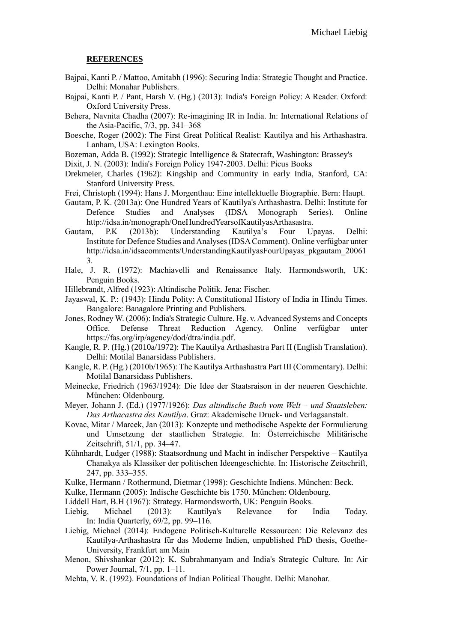#### **REFERENCES**

- Bajpai, Kanti P. / Mattoo, Amitabh (1996): Securing India: Strategic Thought and Practice. Delhi: Monahar Publishers.
- Bajpai, Kanti P. / Pant, Harsh V. (Hg.) (2013): India's Foreign Policy: A Reader. Oxford: Oxford University Press.
- Behera, Navnita Chadha (2007): Re-imagining IR in India. In: International Relations of the Asia-Pacific, 7/3, pp. 341–368
- Boesche, Roger (2002): The First Great Political Realist: Kautilya and his Arthashastra. Lanham, USA: Lexington Books.

Bozeman, Adda B. (1992): Strategic Intelligence & Statecraft, Washington: Brassey's

Dixit, J. N. (2003): India's Foreign Policy 1947-2003. Delhi: Picus Books

- Drekmeier, Charles (1962): Kingship and Community in early India, Stanford, CA: Stanford University Press.
- Frei, Christoph (1994): Hans J. Morgenthau: Eine intellektuelle Biographie. Bern: Haupt.

Gautam, P. K. (2013a): One Hundred Years of Kautilya's Arthashastra. Delhi: Institute for Defence Studies and Analyses (IDSA Monograph Series). Online http://idsa.in/monograph/OneHundredYearsofKautilyasArthasastra.

Gautam, P.K (2013b): Understanding Kautilya's Four Upayas. Delhi: Institute for Defence Studies and Analyses (IDSA Comment). Online verfügbar unter http://idsa.in/idsacomments/UnderstandingKautilyasFourUpayas\_pkgautam\_20061 3.

- Hale, J. R. (1972): Machiavelli and Renaissance Italy. Harmondsworth, UK: Penguin Books.
- Hillebrandt, Alfred (1923): Altindische Politik. Jena: Fischer.
- Jayaswal, K. P.: (1943): Hindu Polity: A Constitutional History of India in Hindu Times. Bangalore: Banagalore Printing and Publishers.

Jones, Rodney W. (2006): India's Strategic Culture. Hg. v. Advanced Systems and Concepts Office. Defense Threat Reduction Agency. Online verfügbar unter https://fas.org/irp/agency/dod/dtra/india.pdf.

- Kangle, R. P. (Hg.) (2010a/1972): The Kautilya Arthashastra Part II (English Translation). Delhi: Motilal Banarsidass Publishers.
- Kangle, R. P. (Hg.) (2010b/1965): The Kautilya Arthashastra Part III (Commentary). Delhi: Motilal Banarsidass Publishers.
- Meinecke, Friedrich (1963/1924): Die Idee der Staatsraison in der neueren Geschichte. München: Oldenbourg.

Meyer, Johann J. (Ed.) (1977/1926): *Das altindische Buch vom Welt – und Staatsleben: Das Arthacastra des Kautilya*. Graz: Akademische Druck- und Verlagsanstalt.

- Kovac, Mitar / Marcek, Jan (2013): Konzepte und methodische Aspekte der Formulierung und Umsetzung der staatlichen Strategie. In: Österreichische Militärische Zeitschrift, 51/1, pp. 34–47.
- Kühnhardt, Ludger (1988): Staatsordnung und Macht in indischer Perspektive Kautilya Chanakya als Klassiker der politischen Ideengeschichte. In: Historische Zeitschrift, 247, pp. 333–355.
- Kulke, Hermann / Rothermund, Dietmar (1998): Geschichte Indiens. München: Beck.
- Kulke, Hermann (2005): Indische Geschichte bis 1750. München: Oldenbourg.
- Liddell Hart, B.H (1967): Strategy. Harmondsworth, UK: Penguin Books.
- Liebig, Michael (2013): Kautilya's Relevance for India Today. In: India Quarterly, 69/2, pp. 99–116.
- Liebig, Michael (2014): Endogene Politisch-Kulturelle Ressourcen: Die Relevanz des Kautilya-Arthashastra fűr das Moderne Indien, unpublished PhD thesis, Goethe-University, Frankfurt am Main
- Menon, Shivshankar (2012): K. Subrahmanyam and India's Strategic Culture. In: Air Power Journal, 7/1, pp. 1–11.
- Mehta, V. R. (1992). Foundations of Indian Political Thought. Delhi: Manohar.